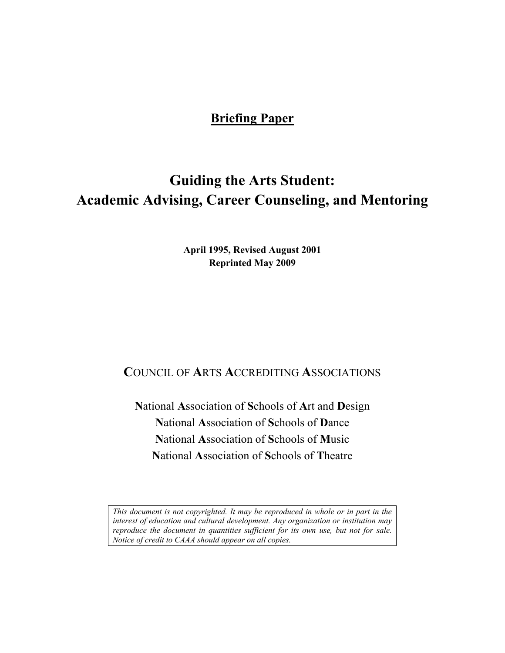## **Briefing Paper**

# **Guiding the Arts Student: Academic Advising, Career Counseling, and Mentoring**

**April 1995, Revised August 2001 Reprinted May 2009** 

## **C**OUNCIL OF **A**RTS **A**CCREDITING **A**SSOCIATIONS

**N**ational **A**ssociation of **S**chools of **A**rt and **D**esign **N**ational **A**ssociation of **S**chools of **D**ance **N**ational **A**ssociation of **S**chools of **M**usic **N**ational **A**ssociation of **S**chools of **T**heatre

*This document is not copyrighted. It may be reproduced in whole or in part in the interest of education and cultural development. Any organization or institution may reproduce the document in quantities sufficient for its own use, but not for sale. Notice of credit to CAAA should appear on all copies.*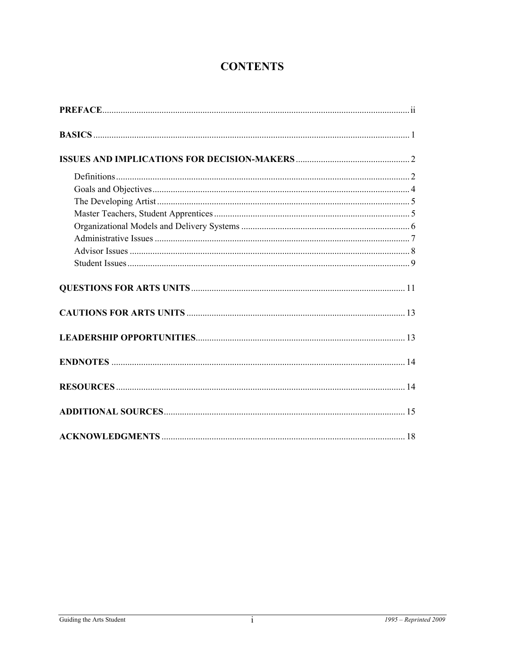## **CONTENTS**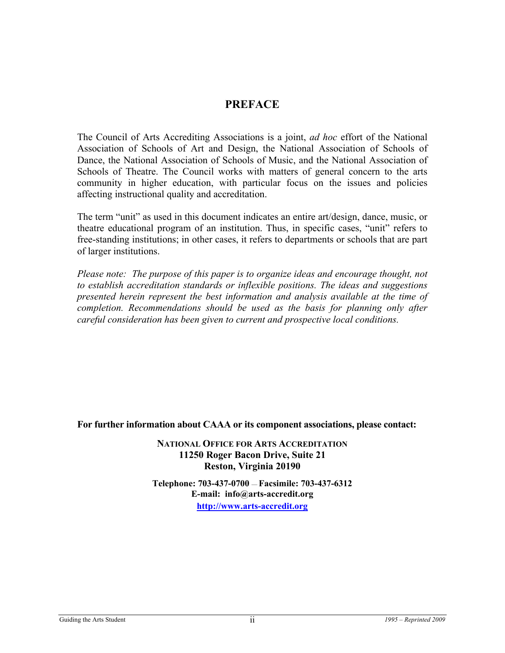## **PREFACE**

The Council of Arts Accrediting Associations is a joint, *ad hoc* effort of the National Association of Schools of Art and Design, the National Association of Schools of Dance, the National Association of Schools of Music, and the National Association of Schools of Theatre. The Council works with matters of general concern to the arts community in higher education, with particular focus on the issues and policies affecting instructional quality and accreditation.

The term "unit" as used in this document indicates an entire art/design, dance, music, or theatre educational program of an institution. Thus, in specific cases, "unit" refers to free-standing institutions; in other cases, it refers to departments or schools that are part of larger institutions.

*Please note: The purpose of this paper is to organize ideas and encourage thought, not to establish accreditation standards or inflexible positions. The ideas and suggestions presented herein represent the best information and analysis available at the time of completion. Recommendations should be used as the basis for planning only after careful consideration has been given to current and prospective local conditions.* 

**For further information about CAAA or its component associations, please contact:** 

**NATIONAL OFFICE FOR ARTS ACCREDITATION 11250 Roger Bacon Drive, Suite 21 Reston, Virginia 20190** 

**Telephone: 703-437-0700** — **Facsimile: 703-437-6312 E-mail: info@arts-accredit.org [http://www.arts-accredit.org](http://www.arts-accredit.org/)**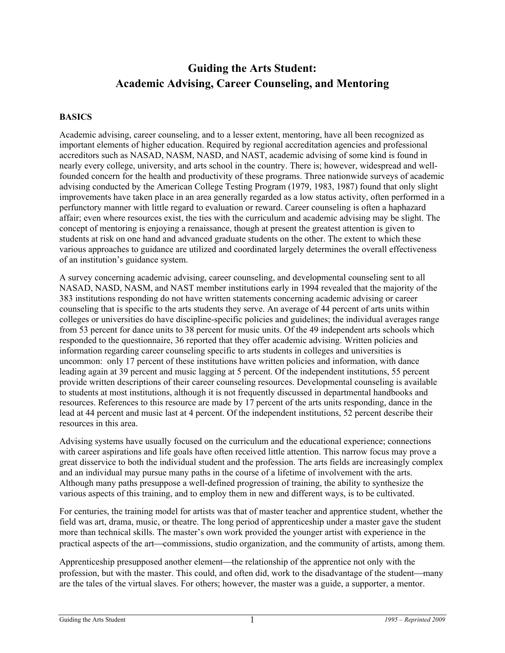## **Guiding the Arts Student: Academic Advising, Career Counseling, and Mentoring**

#### **BASICS**

Academic advising, career counseling, and to a lesser extent, mentoring, have all been recognized as important elements of higher education. Required by regional accreditation agencies and professional accreditors such as NASAD, NASM, NASD, and NAST, academic advising of some kind is found in nearly every college, university, and arts school in the country. There is; however, widespread and wellfounded concern for the health and productivity of these programs. Three nationwide surveys of academic advising conducted by the American College Testing Program (1979, 1983, 1987) found that only slight improvements have taken place in an area generally regarded as a low status activity, often performed in a perfunctory manner with little regard to evaluation or reward. Career counseling is often a haphazard affair; even where resources exist, the ties with the curriculum and academic advising may be slight. The concept of mentoring is enjoying a renaissance, though at present the greatest attention is given to students at risk on one hand and advanced graduate students on the other. The extent to which these various approaches to guidance are utilized and coordinated largely determines the overall effectiveness of an institution's guidance system.

A survey concerning academic advising, career counseling, and developmental counseling sent to all NASAD, NASD, NASM, and NAST member institutions early in 1994 revealed that the majority of the 383 institutions responding do not have written statements concerning academic advising or career counseling that is specific to the arts students they serve. An average of 44 percent of arts units within colleges or universities do have discipline-specific policies and guidelines; the individual averages range from 53 percent for dance units to 38 percent for music units. Of the 49 independent arts schools which responded to the questionnaire, 36 reported that they offer academic advising. Written policies and information regarding career counseling specific to arts students in colleges and universities is uncommon: only 17 percent of these institutions have written policies and information, with dance leading again at 39 percent and music lagging at 5 percent. Of the independent institutions, 55 percent provide written descriptions of their career counseling resources. Developmental counseling is available to students at most institutions, although it is not frequently discussed in departmental handbooks and resources. References to this resource are made by 17 percent of the arts units responding, dance in the lead at 44 percent and music last at 4 percent. Of the independent institutions, 52 percent describe their resources in this area.

Advising systems have usually focused on the curriculum and the educational experience; connections with career aspirations and life goals have often received little attention. This narrow focus may prove a great disservice to both the individual student and the profession. The arts fields are increasingly complex and an individual may pursue many paths in the course of a lifetime of involvement with the arts. Although many paths presuppose a well-defined progression of training, the ability to synthesize the various aspects of this training, and to employ them in new and different ways, is to be cultivated.

For centuries, the training model for artists was that of master teacher and apprentice student, whether the field was art, drama, music, or theatre. The long period of apprenticeship under a master gave the student more than technical skills. The master's own work provided the younger artist with experience in the practical aspects of the art—commissions, studio organization, and the community of artists, among them.

Apprenticeship presupposed another element—the relationship of the apprentice not only with the profession, but with the master. This could, and often did, work to the disadvantage of the student—many are the tales of the virtual slaves. For others; however, the master was a guide, a supporter, a mentor.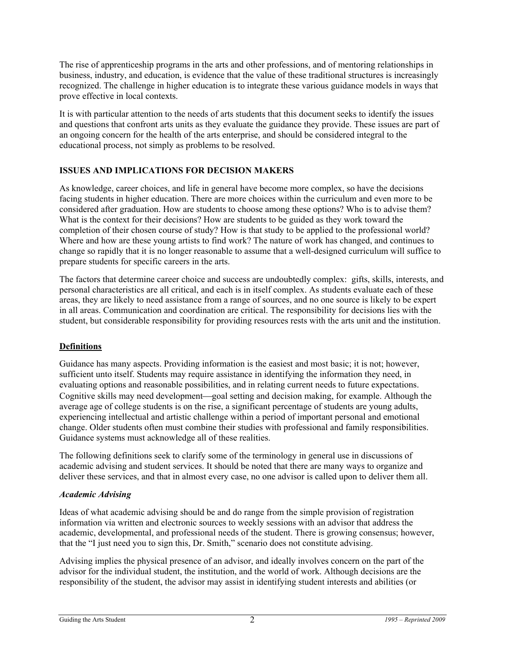The rise of apprenticeship programs in the arts and other professions, and of mentoring relationships in business, industry, and education, is evidence that the value of these traditional structures is increasingly recognized. The challenge in higher education is to integrate these various guidance models in ways that prove effective in local contexts.

It is with particular attention to the needs of arts students that this document seeks to identify the issues and questions that confront arts units as they evaluate the guidance they provide. These issues are part of an ongoing concern for the health of the arts enterprise, and should be considered integral to the educational process, not simply as problems to be resolved.

## **ISSUES AND IMPLICATIONS FOR DECISION MAKERS**

As knowledge, career choices, and life in general have become more complex, so have the decisions facing students in higher education. There are more choices within the curriculum and even more to be considered after graduation. How are students to choose among these options? Who is to advise them? What is the context for their decisions? How are students to be guided as they work toward the completion of their chosen course of study? How is that study to be applied to the professional world? Where and how are these young artists to find work? The nature of work has changed, and continues to change so rapidly that it is no longer reasonable to assume that a well-designed curriculum will suffice to prepare students for specific careers in the arts.

The factors that determine career choice and success are undoubtedly complex: gifts, skills, interests, and personal characteristics are all critical, and each is in itself complex. As students evaluate each of these areas, they are likely to need assistance from a range of sources, and no one source is likely to be expert in all areas. Communication and coordination are critical. The responsibility for decisions lies with the student, but considerable responsibility for providing resources rests with the arts unit and the institution.

## **Definitions**

Guidance has many aspects. Providing information is the easiest and most basic; it is not; however, sufficient unto itself. Students may require assistance in identifying the information they need, in evaluating options and reasonable possibilities, and in relating current needs to future expectations. Cognitive skills may need development—goal setting and decision making, for example. Although the average age of college students is on the rise, a significant percentage of students are young adults, experiencing intellectual and artistic challenge within a period of important personal and emotional change. Older students often must combine their studies with professional and family responsibilities. Guidance systems must acknowledge all of these realities.

The following definitions seek to clarify some of the terminology in general use in discussions of academic advising and student services. It should be noted that there are many ways to organize and deliver these services, and that in almost every case, no one advisor is called upon to deliver them all.

#### *Academic Advising*

Ideas of what academic advising should be and do range from the simple provision of registration information via written and electronic sources to weekly sessions with an advisor that address the academic, developmental, and professional needs of the student. There is growing consensus; however, that the "I just need you to sign this, Dr. Smith," scenario does not constitute advising.

Advising implies the physical presence of an advisor, and ideally involves concern on the part of the advisor for the individual student, the institution, and the world of work. Although decisions are the responsibility of the student, the advisor may assist in identifying student interests and abilities (or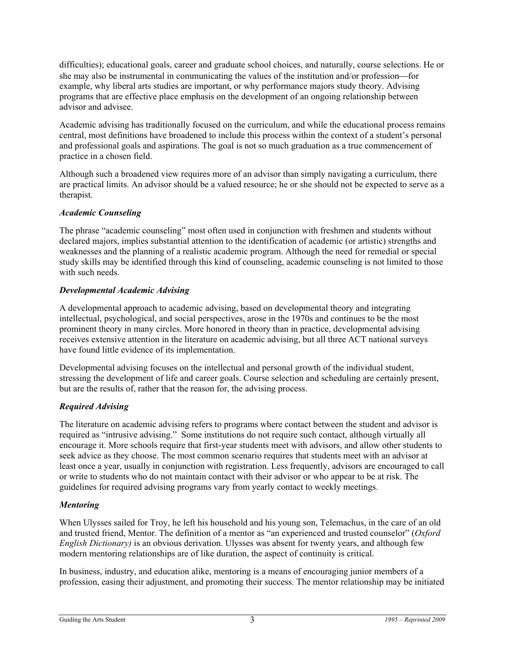difficulties); educational goals, career and graduate school choices, and naturally, course selections. He or she may also be instrumental in communicating the values of the institution and/or profession—for example, why liberal arts studies are important, or why performance majors study theory. Advising programs that are effective place emphasis on the development of an ongoing relationship between advisor and advisee.

Academic advising has traditionally focused on the curriculum, and while the educational process remains central, most definitions have broadened to include this process within the context of a student's personal and professional goals and aspirations. The goal is not so much graduation as a true commencement of practice in a chosen field.

Although such a broadened view requires more of an advisor than simply navigating a curriculum, there are practical limits. An advisor should be a valued resource; he or she should not be expected to serve as a therapist.

## *Academic Counseling*

The phrase "academic counseling" most often used in conjunction with freshmen and students without declared majors, implies substantial attention to the identification of academic (or artistic) strengths and weaknesses and the planning of a realistic academic program. Although the need for remedial or special study skills may be identified through this kind of counseling, academic counseling is not limited to those with such needs.

## *Developmental Academic Advising*

A developmental approach to academic advising, based on developmental theory and integrating intellectual, psychological, and social perspectives, arose in the 1970s and continues to be the most prominent theory in many circles. More honored in theory than in practice, developmental advising receives extensive attention in the literature on academic advising, but all three ACT national surveys have found little evidence of its implementation.

Developmental advising focuses on the intellectual and personal growth of the individual student, stressing the development of life and career goals. Course selection and scheduling are certainly present, but are the results of, rather that the reason for, the advising process.

## *Required Advising*

The literature on academic advising refers to programs where contact between the student and advisor is required as "intrusive advising." Some institutions do not require such contact, although virtually all encourage it. More schools require that first-year students meet with advisors, and allow other students to seek advice as they choose. The most common scenario requires that students meet with an advisor at least once a year, usually in conjunction with registration. Less frequently, advisors are encouraged to call or write to students who do not maintain contact with their advisor or who appear to be at risk. The guidelines for required advising programs vary from yearly contact to weekly meetings.

## *Mentoring*

When Ulysses sailed for Troy, he left his household and his young son, Telemachus, in the care of an old and trusted friend, Mentor. The definition of a mentor as "an experienced and trusted counselor" (*Oxford English Dictionary*) is an obvious derivation. Ulysses was absent for twenty years, and although few modern mentoring relationships are of like duration, the aspect of continuity is critical.

In business, industry, and education alike, mentoring is a means of encouraging junior members of a profession, easing their adjustment, and promoting their success. The mentor relationship may be initiated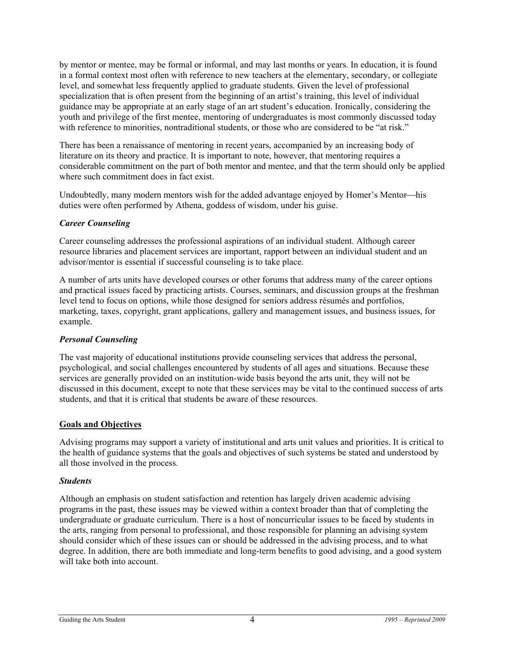by mentor or mentee, may be formal or informal, and may last months or years. In education, it is found in a formal context most often with reference to new teachers at the elementary, secondary, or collegiate level, and somewhat less frequently applied to graduate students. Given the level of professional specialization that is often present from the beginning of an artist's training, this level of individual guidance may be appropriate at an early stage of an art student's education. Ironically, considering the youth and privilege of the first mentee, mentoring of undergraduates is most commonly discussed today with reference to minorities, nontraditional students, or those who are considered to be "at risk."

There has been a renaissance of mentoring in recent years, accompanied by an increasing body of literature on its theory and practice. It is important to note, however, that mentoring requires a considerable commitment on the part of both mentor and mentee, and that the term should only be applied where such commitment does in fact exist.

Undoubtedly, many modern mentors wish for the added advantage enjoyed by Homer's Mentor-his duties were often performed by Athena, goddess of wisdom, under his guise.

#### *Career Counseling*

Career counseling addresses the professional aspirations of an individual student. Although career resource libraries and placement services are important, rapport between an individual student and an advisor/mentor is essential if successful counseling is to take place.

A number of arts units have developed courses or other forums that address many of the career options and practical issues faced by practicing artists. Courses, seminars, and discussion groups at the freshman level tend to focus on options, while those designed for seniors address résumés and portfolios, marketing, taxes, copyright, grant applications, gallery and management issues, and business issues, for example.

#### *Personal Counseling*

The vast majority of educational institutions provide counseling services that address the personal, psychological, and social challenges encountered by students of all ages and situations. Because these services are generally provided on an institution-wide basis beyond the arts unit, they will not be discussed in this document, except to note that these services may be vital to the continued success of arts students, and that it is critical that students be aware of these resources.

#### **Goals and Objectives**

Advising programs may support a variety of institutional and arts unit values and priorities. It is critical to the health of guidance systems that the goals and objectives of such systems be stated and understood by all those involved in the process.

#### *Students*

Although an emphasis on student satisfaction and retention has largely driven academic advising programs in the past, these issues may be viewed within a context broader than that of completing the undergraduate or graduate curriculum. There is a host of noncurricular issues to be faced by students in the arts, ranging from personal to professional, and those responsible for planning an advising system should consider which of these issues can or should be addressed in the advising process, and to what degree. In addition, there are both immediate and long-term benefits to good advising, and a good system will take both into account.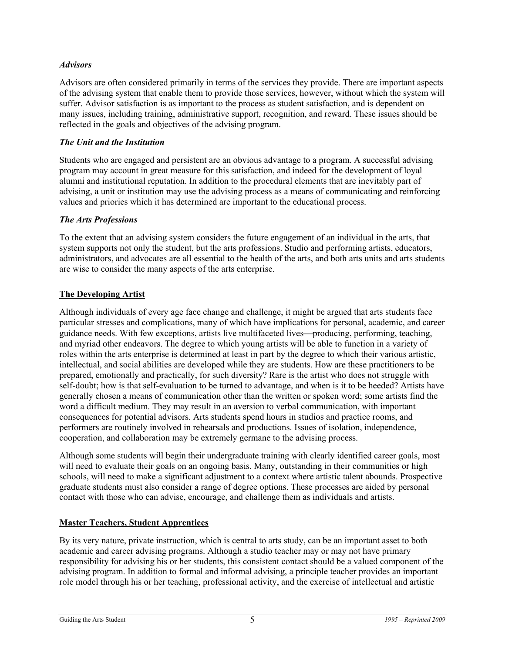#### *Advisors*

Advisors are often considered primarily in terms of the services they provide. There are important aspects of the advising system that enable them to provide those services, however, without which the system will suffer. Advisor satisfaction is as important to the process as student satisfaction, and is dependent on many issues, including training, administrative support, recognition, and reward. These issues should be reflected in the goals and objectives of the advising program.

#### *The Unit and the Institution*

Students who are engaged and persistent are an obvious advantage to a program. A successful advising program may account in great measure for this satisfaction, and indeed for the development of loyal alumni and institutional reputation. In addition to the procedural elements that are inevitably part of advising, a unit or institution may use the advising process as a means of communicating and reinforcing values and priories which it has determined are important to the educational process.

## *The Arts Professions*

To the extent that an advising system considers the future engagement of an individual in the arts, that system supports not only the student, but the arts professions. Studio and performing artists, educators, administrators, and advocates are all essential to the health of the arts, and both arts units and arts students are wise to consider the many aspects of the arts enterprise.

## **The Developing Artist**

Although individuals of every age face change and challenge, it might be argued that arts students face particular stresses and complications, many of which have implications for personal, academic, and career guidance needs. With few exceptions, artists live multifaceted lives—producing, performing, teaching, and myriad other endeavors. The degree to which young artists will be able to function in a variety of roles within the arts enterprise is determined at least in part by the degree to which their various artistic, intellectual, and social abilities are developed while they are students. How are these practitioners to be prepared, emotionally and practically, for such diversity? Rare is the artist who does not struggle with self-doubt; how is that self-evaluation to be turned to advantage, and when is it to be heeded? Artists have generally chosen a means of communication other than the written or spoken word; some artists find the word a difficult medium. They may result in an aversion to verbal communication, with important consequences for potential advisors. Arts students spend hours in studios and practice rooms, and performers are routinely involved in rehearsals and productions. Issues of isolation, independence, cooperation, and collaboration may be extremely germane to the advising process.

Although some students will begin their undergraduate training with clearly identified career goals, most will need to evaluate their goals on an ongoing basis. Many, outstanding in their communities or high schools, will need to make a significant adjustment to a context where artistic talent abounds. Prospective graduate students must also consider a range of degree options. These processes are aided by personal contact with those who can advise, encourage, and challenge them as individuals and artists.

#### **Master Teachers, Student Apprentices**

By its very nature, private instruction, which is central to arts study, can be an important asset to both academic and career advising programs. Although a studio teacher may or may not have primary responsibility for advising his or her students, this consistent contact should be a valued component of the advising program. In addition to formal and informal advising, a principle teacher provides an important role model through his or her teaching, professional activity, and the exercise of intellectual and artistic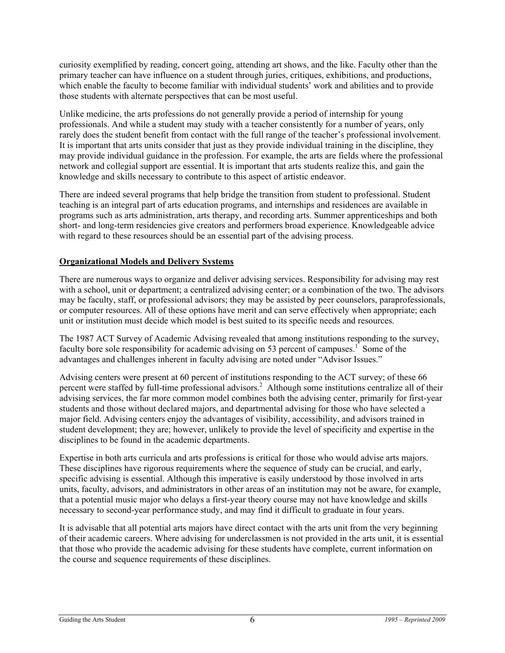curiosity exemplified by reading, concert going, attending art shows, and the like. Faculty other than the primary teacher can have influence on a student through juries, critiques, exhibitions, and productions, which enable the faculty to become familiar with individual students' work and abilities and to provide those students with alternate perspectives that can be most useful.

Unlike medicine, the arts professions do not generally provide a period of internship for young professionals. And while a student may study with a teacher consistently for a number of years, only rarely does the student benefit from contact with the full range of the teacher's professional involvement. It is important that arts units consider that just as they provide individual training in the discipline, they may provide individual guidance in the profession. For example, the arts are fields where the professional network and collegial support are essential. It is important that arts students realize this, and gain the knowledge and skills necessary to contribute to this aspect of artistic endeavor.

There are indeed several programs that help bridge the transition from student to professional. Student teaching is an integral part of arts education programs, and internships and residences are available in programs such as arts administration, arts therapy, and recording arts. Summer apprenticeships and both short- and long-term residencies give creators and performers broad experience. Knowledgeable advice with regard to these resources should be an essential part of the advising process.

## **Organizational Models and Delivery Systems**

There are numerous ways to organize and deliver advising services. Responsibility for advising may rest with a school, unit or department; a centralized advising center; or a combination of the two. The advisors may be faculty, staff, or professional advisors; they may be assisted by peer counselors, paraprofessionals, or computer resources. All of these options have merit and can serve effectively when appropriate; each unit or institution must decide which model is best suited to its specific needs and resources.

The 1987 ACT Survey of Academic Advising revealed that among institutions responding to the survey, faculty bore sole responsibility for academic advising on 53 percent of campuses.<sup>1</sup> Some of the advantages and challenges inherent in faculty advising are noted under "Advisor Issues."

Advising centers were present at 60 percent of institutions responding to the ACT survey; of these 66 percent were staffed by full-time professional advisors.<sup>2</sup> Although some institutions centralize all of their advising services, the far more common model combines both the advising center, primarily for first-year students and those without declared majors, and departmental advising for those who have selected a major field. Advising centers enjoy the advantages of visibility, accessibility, and advisors trained in student development; they are; however, unlikely to provide the level of specificity and expertise in the disciplines to be found in the academic departments.

Expertise in both arts curricula and arts professions is critical for those who would advise arts majors. These disciplines have rigorous requirements where the sequence of study can be crucial, and early, specific advising is essential. Although this imperative is easily understood by those involved in arts units, faculty, advisors, and administrators in other areas of an institution may not be aware, for example, that a potential music major who delays a first-year theory course may not have knowledge and skills necessary to second-year performance study, and may find it difficult to graduate in four years.

It is advisable that all potential arts majors have direct contact with the arts unit from the very beginning of their academic careers. Where advising for underclassmen is not provided in the arts unit, it is essential that those who provide the academic advising for these students have complete, current information on the course and sequence requirements of these disciplines.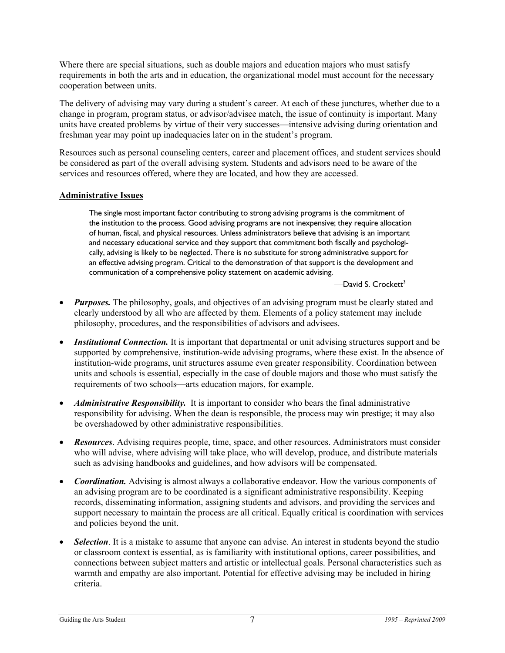Where there are special situations, such as double majors and education majors who must satisfy requirements in both the arts and in education, the organizational model must account for the necessary cooperation between units.

The delivery of advising may vary during a student's career. At each of these junctures, whether due to a change in program, program status, or advisor/advisee match, the issue of continuity is important. Many units have created problems by virtue of their very successes—intensive advising during orientation and freshman year may point up inadequacies later on in the student's program.

Resources such as personal counseling centers, career and placement offices, and student services should be considered as part of the overall advising system. Students and advisors need to be aware of the services and resources offered, where they are located, and how they are accessed.

#### **Administrative Issues**

The single most important factor contributing to strong advising programs is the commitment of the institution to the process. Good advising programs are not inexpensive; they require allocation of human, fiscal, and physical resources. Unless administrators believe that advising is an important and necessary educational service and they support that commitment both fiscally and psychologically, advising is likely to be neglected. There is no substitute for strong administrative support for an effective advising program. Critical to the demonstration of that support is the development and communication of a comprehensive policy statement on academic advising.

 $-D$ avid S. Crockett<sup>3</sup>

- *Purposes*. The philosophy, goals, and objectives of an advising program must be clearly stated and clearly understood by all who are affected by them. Elements of a policy statement may include philosophy, procedures, and the responsibilities of advisors and advisees.
- **Institutional Connection.** It is important that departmental or unit advising structures support and be supported by comprehensive, institution-wide advising programs, where these exist. In the absence of institution-wide programs, unit structures assume even greater responsibility. Coordination between units and schools is essential, especially in the case of double majors and those who must satisfy the requirements of two schools—arts education majors, for example.
- *Administrative Responsibility.* It is important to consider who bears the final administrative responsibility for advising. When the dean is responsible, the process may win prestige; it may also be overshadowed by other administrative responsibilities.
- *Resources*. Advising requires people, time, space, and other resources. Administrators must consider who will advise, where advising will take place, who will develop, produce, and distribute materials such as advising handbooks and guidelines, and how advisors will be compensated.
- *Coordination.* Advising is almost always a collaborative endeavor. How the various components of an advising program are to be coordinated is a significant administrative responsibility. Keeping records, disseminating information, assigning students and advisors, and providing the services and support necessary to maintain the process are all critical. Equally critical is coordination with services and policies beyond the unit.
- **Selection**. It is a mistake to assume that anyone can advise. An interest in students beyond the studio or classroom context is essential, as is familiarity with institutional options, career possibilities, and connections between subject matters and artistic or intellectual goals. Personal characteristics such as warmth and empathy are also important. Potential for effective advising may be included in hiring criteria.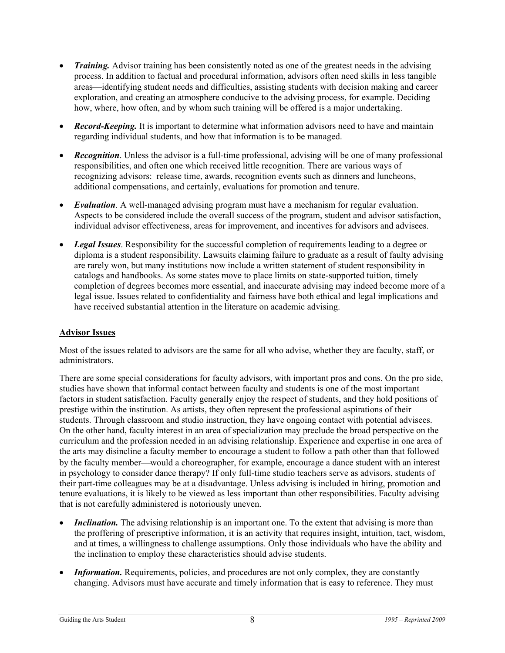- *Training.* Advisor training has been consistently noted as one of the greatest needs in the advising process. In addition to factual and procedural information, advisors often need skills in less tangible areas—identifying student needs and difficulties, assisting students with decision making and career exploration, and creating an atmosphere conducive to the advising process, for example. Deciding how, where, how often, and by whom such training will be offered is a major undertaking.
- *Record-Keeping.* It is important to determine what information advisors need to have and maintain regarding individual students, and how that information is to be managed.
- *Recognition*. Unless the advisor is a full-time professional, advising will be one of many professional responsibilities, and often one which received little recognition. There are various ways of recognizing advisors: release time, awards, recognition events such as dinners and luncheons, additional compensations, and certainly, evaluations for promotion and tenure.
- *Evaluation*. A well-managed advising program must have a mechanism for regular evaluation. Aspects to be considered include the overall success of the program, student and advisor satisfaction, individual advisor effectiveness, areas for improvement, and incentives for advisors and advisees.
- *Legal Issues*. Responsibility for the successful completion of requirements leading to a degree or diploma is a student responsibility. Lawsuits claiming failure to graduate as a result of faulty advising are rarely won, but many institutions now include a written statement of student responsibility in catalogs and handbooks. As some states move to place limits on state-supported tuition, timely completion of degrees becomes more essential, and inaccurate advising may indeed become more of a legal issue. Issues related to confidentiality and fairness have both ethical and legal implications and have received substantial attention in the literature on academic advising.

#### **Advisor Issues**

Most of the issues related to advisors are the same for all who advise, whether they are faculty, staff, or administrators.

There are some special considerations for faculty advisors, with important pros and cons. On the pro side, studies have shown that informal contact between faculty and students is one of the most important factors in student satisfaction. Faculty generally enjoy the respect of students, and they hold positions of prestige within the institution. As artists, they often represent the professional aspirations of their students. Through classroom and studio instruction, they have ongoing contact with potential advisees. On the other hand, faculty interest in an area of specialization may preclude the broad perspective on the curriculum and the profession needed in an advising relationship. Experience and expertise in one area of the arts may disincline a faculty member to encourage a student to follow a path other than that followed by the faculty member—would a choreographer, for example, encourage a dance student with an interest in psychology to consider dance therapy? If only full-time studio teachers serve as advisors, students of their part-time colleagues may be at a disadvantage. Unless advising is included in hiring, promotion and tenure evaluations, it is likely to be viewed as less important than other responsibilities. Faculty advising that is not carefully administered is notoriously uneven.

- *Inclination.* The advising relationship is an important one. To the extent that advising is more than the proffering of prescriptive information, it is an activity that requires insight, intuition, tact, wisdom, and at times, a willingness to challenge assumptions. Only those individuals who have the ability and the inclination to employ these characteristics should advise students.
- *Information.* Requirements, policies, and procedures are not only complex, they are constantly changing. Advisors must have accurate and timely information that is easy to reference. They must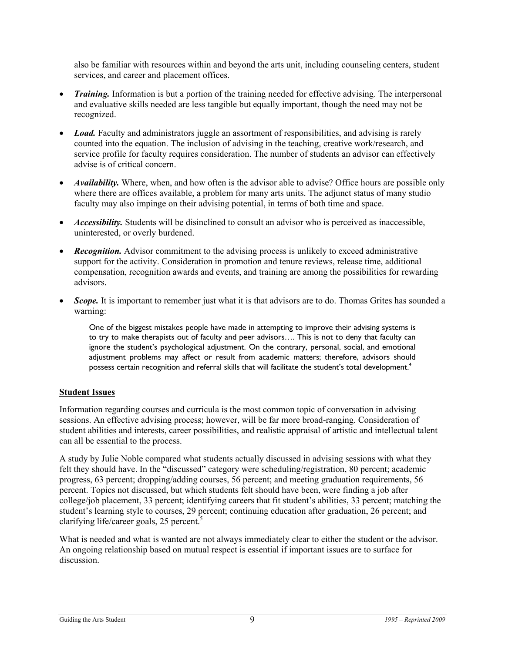also be familiar with resources within and beyond the arts unit, including counseling centers, student services, and career and placement offices.

- *Training.* Information is but a portion of the training needed for effective advising. The interpersonal and evaluative skills needed are less tangible but equally important, though the need may not be recognized.
- *Load.* Faculty and administrators juggle an assortment of responsibilities, and advising is rarely counted into the equation. The inclusion of advising in the teaching, creative work/research, and service profile for faculty requires consideration. The number of students an advisor can effectively advise is of critical concern.
- *Availability.* Where, when, and how often is the advisor able to advise? Office hours are possible only where there are offices available, a problem for many arts units. The adjunct status of many studio faculty may also impinge on their advising potential, in terms of both time and space.
- *Accessibility*. Students will be disinclined to consult an advisor who is perceived as inaccessible, uninterested, or overly burdened.
- *Recognition.* Advisor commitment to the advising process is unlikely to exceed administrative support for the activity. Consideration in promotion and tenure reviews, release time, additional compensation, recognition awards and events, and training are among the possibilities for rewarding advisors.
- **Scope.** It is important to remember just what it is that advisors are to do. Thomas Grites has sounded a warning:

One of the biggest mistakes people have made in attempting to improve their advising systems is to try to make therapists out of faculty and peer advisors…. This is not to deny that faculty can ignore the student's psychological adjustment. On the contrary, personal, social, and emotional adjustment problems may affect or result from academic matters; therefore, advisors should possess certain recognition and referral skills that will facilitate the student's total development.<sup>4</sup>

#### **Student Issues**

Information regarding courses and curricula is the most common topic of conversation in advising sessions. An effective advising process; however, will be far more broad-ranging. Consideration of student abilities and interests, career possibilities, and realistic appraisal of artistic and intellectual talent can all be essential to the process.

A study by Julie Noble compared what students actually discussed in advising sessions with what they felt they should have. In the "discussed" category were scheduling/registration, 80 percent; academic progress, 63 percent; dropping/adding courses, 56 percent; and meeting graduation requirements, 56 percent. Topics not discussed, but which students felt should have been, were finding a job after college/job placement, 33 percent; identifying careers that fit student's abilities, 33 percent; matching the student's learning style to courses, 29 percent; continuing education after graduation, 26 percent; and clarifying life/career goals, 25 percent.<sup>5</sup>

What is needed and what is wanted are not always immediately clear to either the student or the advisor. An ongoing relationship based on mutual respect is essential if important issues are to surface for discussion.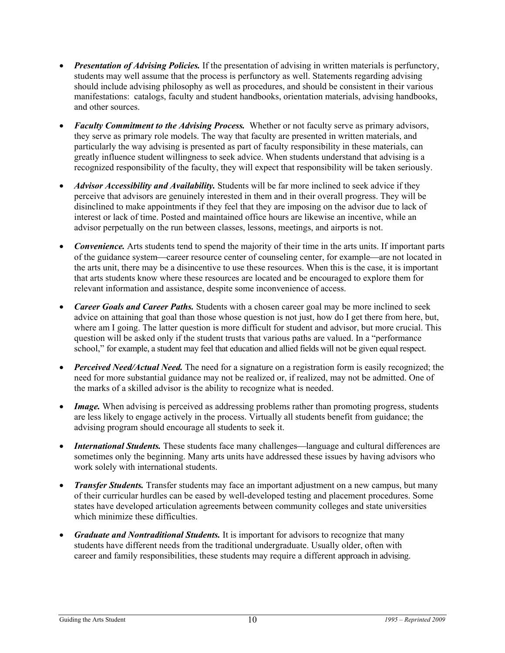- *Presentation of Advising Policies.* If the presentation of advising in written materials is perfunctory, students may well assume that the process is perfunctory as well. Statements regarding advising should include advising philosophy as well as procedures, and should be consistent in their various manifestations: catalogs, faculty and student handbooks, orientation materials, advising handbooks, and other sources.
- *Faculty Commitment to the Advising Process.* Whether or not faculty serve as primary advisors, they serve as primary role models. The way that faculty are presented in written materials, and particularly the way advising is presented as part of faculty responsibility in these materials, can greatly influence student willingness to seek advice. When students understand that advising is a recognized responsibility of the faculty, they will expect that responsibility will be taken seriously.
- *Advisor Accessibility and Availability.* Students will be far more inclined to seek advice if they perceive that advisors are genuinely interested in them and in their overall progress. They will be disinclined to make appointments if they feel that they are imposing on the advisor due to lack of interest or lack of time. Posted and maintained office hours are likewise an incentive, while an advisor perpetually on the run between classes, lessons, meetings, and airports is not.
- *Convenience.* Arts students tend to spend the majority of their time in the arts units. If important parts of the guidance system—career resource center of counseling center, for example—are not located in the arts unit, there may be a disincentive to use these resources. When this is the case, it is important that arts students know where these resources are located and be encouraged to explore them for relevant information and assistance, despite some inconvenience of access.
- *Career Goals and Career Paths.* Students with a chosen career goal may be more inclined to seek advice on attaining that goal than those whose question is not just, how do I get there from here, but, where am I going. The latter question is more difficult for student and advisor, but more crucial. This question will be asked only if the student trusts that various paths are valued. In a "performance school," for example, a student may feel that education and allied fields will not be given equal respect.
- *Perceived Need/Actual Need.* The need for a signature on a registration form is easily recognized; the need for more substantial guidance may not be realized or, if realized, may not be admitted. One of the marks of a skilled advisor is the ability to recognize what is needed.
- *Image.* When advising is perceived as addressing problems rather than promoting progress, students are less likely to engage actively in the process. Virtually all students benefit from guidance; the advising program should encourage all students to seek it.
- *International Students*. These students face many challenges—language and cultural differences are sometimes only the beginning. Many arts units have addressed these issues by having advisors who work solely with international students.
- *Transfer Students*. Transfer students may face an important adjustment on a new campus, but many of their curricular hurdles can be eased by well-developed testing and placement procedures. Some states have developed articulation agreements between community colleges and state universities which minimize these difficulties.
- *Graduate and Nontraditional Students.* It is important for advisors to recognize that many students have different needs from the traditional undergraduate. Usually older, often with career and family responsibilities, these students may require a different approach in advising.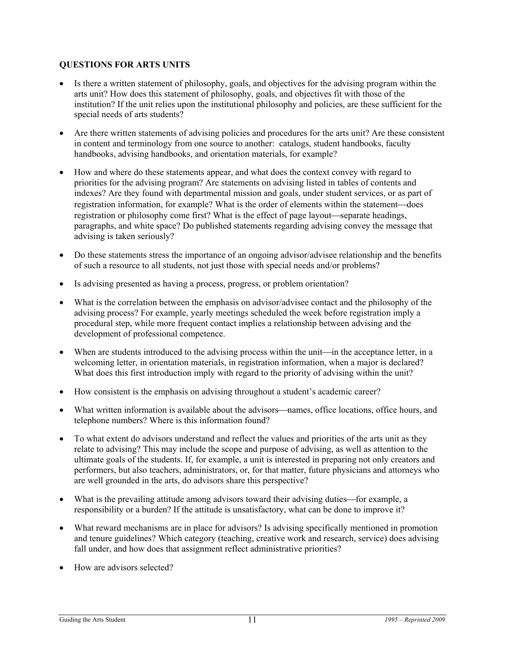#### **QUESTIONS FOR ARTS UNITS**

- Is there a written statement of philosophy, goals, and objectives for the advising program within the arts unit? How does this statement of philosophy, goals, and objectives fit with those of the institution? If the unit relies upon the institutional philosophy and policies, are these sufficient for the special needs of arts students?
- Are there written statements of advising policies and procedures for the arts unit? Are these consistent in content and terminology from one source to another: catalogs, student handbooks, faculty handbooks, advising handbooks, and orientation materials, for example?
- How and where do these statements appear, and what does the context convey with regard to priorities for the advising program? Are statements on advising listed in tables of contents and indexes? Are they found with departmental mission and goals, under student services, or as part of registration information, for example? What is the order of elements within the statement—does registration or philosophy come first? What is the effect of page layout—separate headings, paragraphs, and white space? Do published statements regarding advising convey the message that advising is taken seriously?
- Do these statements stress the importance of an ongoing advisor/advisee relationship and the benefits of such a resource to all students, not just those with special needs and/or problems?
- Is advising presented as having a process, progress, or problem orientation?
- What is the correlation between the emphasis on advisor/advisee contact and the philosophy of the advising process? For example, yearly meetings scheduled the week before registration imply a procedural step, while more frequent contact implies a relationship between advising and the development of professional competence.
- When are students introduced to the advising process within the unit—in the acceptance letter, in a welcoming letter, in orientation materials, in registration information, when a major is declared? What does this first introduction imply with regard to the priority of advising within the unit?
- How consistent is the emphasis on advising throughout a student's academic career?
- What written information is available about the advisors—names, office locations, office hours, and telephone numbers? Where is this information found?
- To what extent do advisors understand and reflect the values and priorities of the arts unit as they relate to advising? This may include the scope and purpose of advising, as well as attention to the ultimate goals of the students. If, for example, a unit is interested in preparing not only creators and performers, but also teachers, administrators, or, for that matter, future physicians and attorneys who are well grounded in the arts, do advisors share this perspective?
- What is the prevailing attitude among advisors toward their advising duties—for example, a responsibility or a burden? If the attitude is unsatisfactory, what can be done to improve it?
- What reward mechanisms are in place for advisors? Is advising specifically mentioned in promotion and tenure guidelines? Which category (teaching, creative work and research, service) does advising fall under, and how does that assignment reflect administrative priorities?
- How are advisors selected?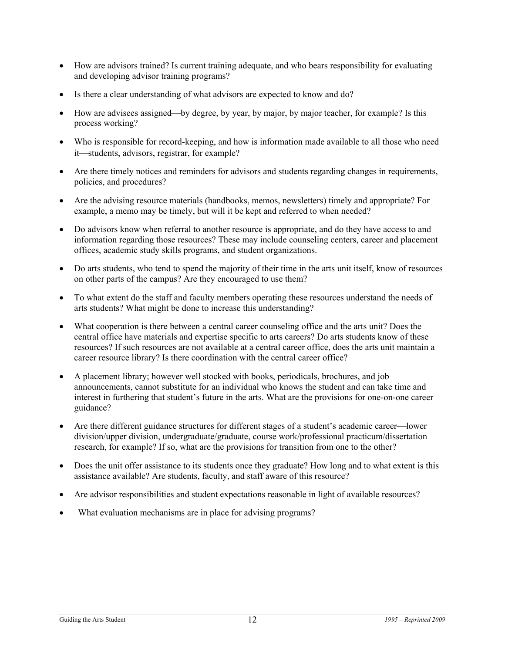- How are advisors trained? Is current training adequate, and who bears responsibility for evaluating and developing advisor training programs?
- Is there a clear understanding of what advisors are expected to know and do?
- How are advisees assigned—by degree, by year, by major, by major teacher, for example? Is this process working?
- Who is responsible for record-keeping, and how is information made available to all those who need it—students, advisors, registrar, for example?
- Are there timely notices and reminders for advisors and students regarding changes in requirements, policies, and procedures?
- Are the advising resource materials (handbooks, memos, newsletters) timely and appropriate? For example, a memo may be timely, but will it be kept and referred to when needed?
- Do advisors know when referral to another resource is appropriate, and do they have access to and information regarding those resources? These may include counseling centers, career and placement offices, academic study skills programs, and student organizations.
- Do arts students, who tend to spend the majority of their time in the arts unit itself, know of resources on other parts of the campus? Are they encouraged to use them?
- To what extent do the staff and faculty members operating these resources understand the needs of arts students? What might be done to increase this understanding?
- What cooperation is there between a central career counseling office and the arts unit? Does the central office have materials and expertise specific to arts careers? Do arts students know of these resources? If such resources are not available at a central career office, does the arts unit maintain a career resource library? Is there coordination with the central career office?
- A placement library; however well stocked with books, periodicals, brochures, and job announcements, cannot substitute for an individual who knows the student and can take time and interest in furthering that student's future in the arts. What are the provisions for one-on-one career guidance?
- Are there different guidance structures for different stages of a student's academic career—lower division/upper division, undergraduate/graduate, course work/professional practicum/dissertation research, for example? If so, what are the provisions for transition from one to the other?
- Does the unit offer assistance to its students once they graduate? How long and to what extent is this assistance available? Are students, faculty, and staff aware of this resource?
- Are advisor responsibilities and student expectations reasonable in light of available resources?
- What evaluation mechanisms are in place for advising programs?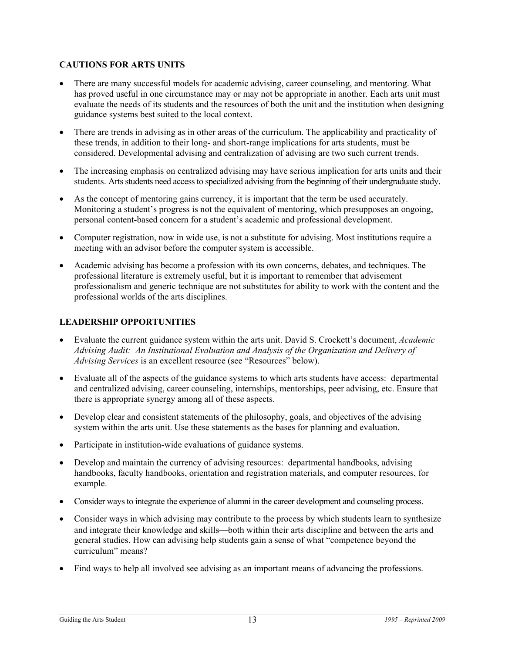## **CAUTIONS FOR ARTS UNITS**

- There are many successful models for academic advising, career counseling, and mentoring. What has proved useful in one circumstance may or may not be appropriate in another. Each arts unit must evaluate the needs of its students and the resources of both the unit and the institution when designing guidance systems best suited to the local context.
- There are trends in advising as in other areas of the curriculum. The applicability and practicality of these trends, in addition to their long- and short-range implications for arts students, must be considered. Developmental advising and centralization of advising are two such current trends.
- The increasing emphasis on centralized advising may have serious implication for arts units and their students. Arts students need access to specialized advising from the beginning of their undergraduate study.
- As the concept of mentoring gains currency, it is important that the term be used accurately. Monitoring a student's progress is not the equivalent of mentoring, which presupposes an ongoing, personal content-based concern for a student's academic and professional development.
- Computer registration, now in wide use, is not a substitute for advising. Most institutions require a meeting with an advisor before the computer system is accessible.
- Academic advising has become a profession with its own concerns, debates, and techniques. The professional literature is extremely useful, but it is important to remember that advisement professionalism and generic technique are not substitutes for ability to work with the content and the professional worlds of the arts disciplines.

## **LEADERSHIP OPPORTUNITIES**

- Evaluate the current guidance system within the arts unit. David S. Crockett's document, *Academic Advising Audit: An Institutional Evaluation and Analysis of the Organization and Delivery of Advising Services* is an excellent resource (see "Resources" below).
- Evaluate all of the aspects of the guidance systems to which arts students have access: departmental and centralized advising, career counseling, internships, mentorships, peer advising, etc. Ensure that there is appropriate synergy among all of these aspects.
- Develop clear and consistent statements of the philosophy, goals, and objectives of the advising system within the arts unit. Use these statements as the bases for planning and evaluation.
- Participate in institution-wide evaluations of guidance systems.
- Develop and maintain the currency of advising resources: departmental handbooks, advising handbooks, faculty handbooks, orientation and registration materials, and computer resources, for example.
- Consider ways to integrate the experience of alumni in the career development and counseling process.
- Consider ways in which advising may contribute to the process by which students learn to synthesize and integrate their knowledge and skills—both within their arts discipline and between the arts and general studies. How can advising help students gain a sense of what "competence beyond the curriculum" means?
- Find ways to help all involved see advising as an important means of advancing the professions.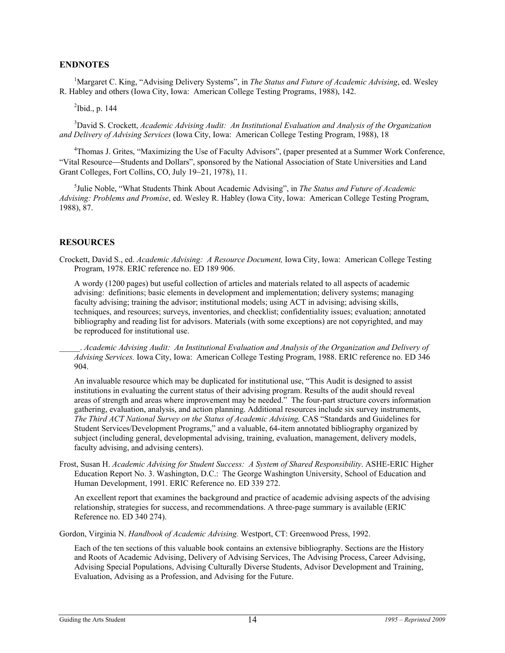#### **ENDNOTES**

<sup>1</sup>Margaret C. King, "Advising Delivery Systems", in *The Status and Future of Academic Advising*, ed. Wesley R. Habley and others (Iowa City, Iowa: American College Testing Programs, 1988), 142.

 $2$ Ibid., p. 144

<sup>3</sup>David S. Crockett, *Academic Advising Audit: An Institutional Evaluation and Analysis of the Organization and Delivery of Advising Services* (Iowa City, Iowa: American College Testing Program, 1988), 18

<sup>4</sup>Thomas J. Grites, "Maximizing the Use of Faculty Advisors", (paper presented at a Summer Work Conference, "Vital Resource⎯Students and Dollars", sponsored by the National Association of State Universities and Land Grant Colleges, Fort Collins, CO, July 19−21, 1978), 11.

 <sup>5</sup> Julie Noble, "What Students Think About Academic Advising", in *The Status and Future of Academic Advising: Problems and Promise*, ed. Wesley R. Habley (Iowa City, Iowa: American College Testing Program, 1988), 87.

#### **RESOURCES**

Crockett, David S., ed. *Academic Advising: A Resource Document,* Iowa City, Iowa: American College Testing Program, 1978. ERIC reference no. ED 189 906.

A wordy (1200 pages) but useful collection of articles and materials related to all aspects of academic advising: definitions; basic elements in development and implementation; delivery systems; managing faculty advising; training the advisor; institutional models; using ACT in advising; advising skills, techniques, and resources; surveys, inventories, and checklist; confidentiality issues; evaluation; annotated bibliography and reading list for advisors. Materials (with some exceptions) are not copyrighted, and may be reproduced for institutional use.

\_\_\_\_\_. *Academic Advising Audit: An Institutional Evaluation and Analysis of the Organization and Delivery of Advising Services.* Iowa City, Iowa: American College Testing Program, 1988. ERIC reference no. ED 346 904.

 An invaluable resource which may be duplicated for institutional use, "This Audit is designed to assist institutions in evaluating the current status of their advising program. Results of the audit should reveal areas of strength and areas where improvement may be needed." The four-part structure covers information gathering, evaluation, analysis, and action planning. Additional resources include six survey instruments, *The Third ACT National Survey on the Status of Academic Advising,* CAS "Standards and Guidelines for Student Services/Development Programs," and a valuable, 64-item annotated bibliography organized by subject (including general, developmental advising, training, evaluation, management, delivery models, faculty advising, and advising centers).

Frost, Susan H. *Academic Advising for Student Success: A System of Shared Responsibility*. ASHE-ERIC Higher Education Report No. 3. Washington, D.C.: The George Washington University, School of Education and Human Development, 1991. ERIC Reference no. ED 339 272.

 An excellent report that examines the background and practice of academic advising aspects of the advising relationship, strategies for success, and recommendations. A three-page summary is available (ERIC Reference no. ED 340 274).

Gordon, Virginia N. *Handbook of Academic Advising.* Westport, CT: Greenwood Press, 1992.

 Each of the ten sections of this valuable book contains an extensive bibliography. Sections are the History and Roots of Academic Advising, Delivery of Advising Services, The Advising Process, Career Advising, Advising Special Populations, Advising Culturally Diverse Students, Advisor Development and Training, Evaluation, Advising as a Profession, and Advising for the Future.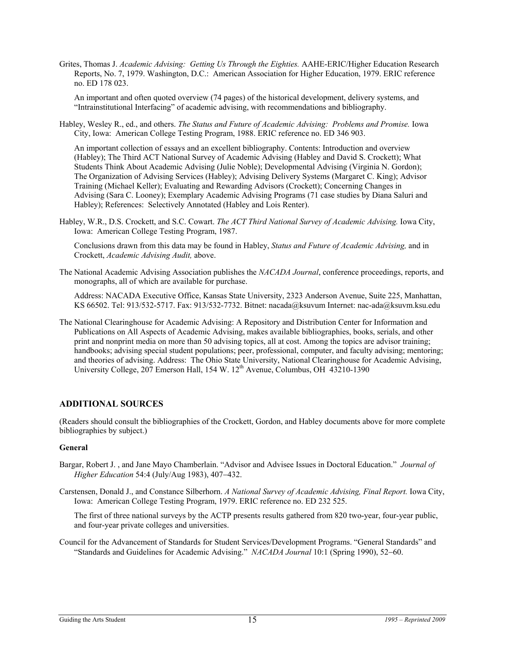Grites, Thomas J. *Academic Advising: Getting Us Through the Eighties.* AAHE-ERIC/Higher Education Research Reports, No. 7, 1979. Washington, D.C.: American Association for Higher Education, 1979. ERIC reference no. ED 178 023.

 An important and often quoted overview (74 pages) of the historical development, delivery systems, and "Intrainstitutional Interfacing" of academic advising, with recommendations and bibliography.

Habley, Wesley R., ed., and others. *The Status and Future of Academic Advising: Problems and Promise.* Iowa City, Iowa: American College Testing Program, 1988. ERIC reference no. ED 346 903.

 An important collection of essays and an excellent bibliography. Contents: Introduction and overview (Habley); The Third ACT National Survey of Academic Advising (Habley and David S. Crockett); What Students Think About Academic Advising (Julie Noble); Developmental Advising (Virginia N. Gordon); The Organization of Advising Services (Habley); Advising Delivery Systems (Margaret C. King); Advisor Training (Michael Keller); Evaluating and Rewarding Advisors (Crockett); Concerning Changes in Advising (Sara C. Looney); Exemplary Academic Advising Programs (71 case studies by Diana Saluri and Habley); References: Selectively Annotated (Habley and Lois Renter).

Habley, W.R., D.S. Crockett, and S.C. Cowart. *The ACT Third National Survey of Academic Advising.* Iowa City, Iowa: American College Testing Program, 1987.

 Conclusions drawn from this data may be found in Habley, *Status and Future of Academic Advising,* and in Crockett, *Academic Advising Audit,* above.

The National Academic Advising Association publishes the *NACADA Journal*, conference proceedings, reports, and monographs, all of which are available for purchase.

Address: NACADA Executive Office, Kansas State University, 2323 Anderson Avenue, Suite 225, Manhattan, KS 66502. Tel: 913/532-5717. Fax: 913/532-7732. Bitnet: nacada@ksuvum Internet: nac-ada@ksuvm.ksu.edu

The National Clearinghouse for Academic Advising: A Repository and Distribution Center for Information and Publications on All Aspects of Academic Advising, makes available bibliographies, books, serials, and other print and nonprint media on more than 50 advising topics, all at cost. Among the topics are advisor training; handbooks; advising special student populations; peer, professional, computer, and faculty advising; mentoring; and theories of advising. Address: The Ohio State University, National Clearinghouse for Academic Advising, University College,  $207$  Emerson Hall, 154 W.  $12^{th}$  Avenue, Columbus, OH 43210-1390

#### **ADDITIONAL SOURCES**

(Readers should consult the bibliographies of the Crockett, Gordon, and Habley documents above for more complete bibliographies by subject.)

#### **General**

- Bargar, Robert J. , and Jane Mayo Chamberlain. "Advisor and Advisee Issues in Doctoral Education." *Journal of Higher Education* 54:4 (July/Aug 1983), 407−432.
- Carstensen, Donald J., and Constance Silberhorn. *A National Survey of Academic Advising, Final Report.* Iowa City, Iowa: American College Testing Program, 1979. ERIC reference no. ED 232 525.

 The first of three national surveys by the ACTP presents results gathered from 820 two-year, four-year public, and four-year private colleges and universities.

Council for the Advancement of Standards for Student Services/Development Programs. "General Standards" and "Standards and Guidelines for Academic Advising." *NACADA Journal* 10:1 (Spring 1990), 52−60.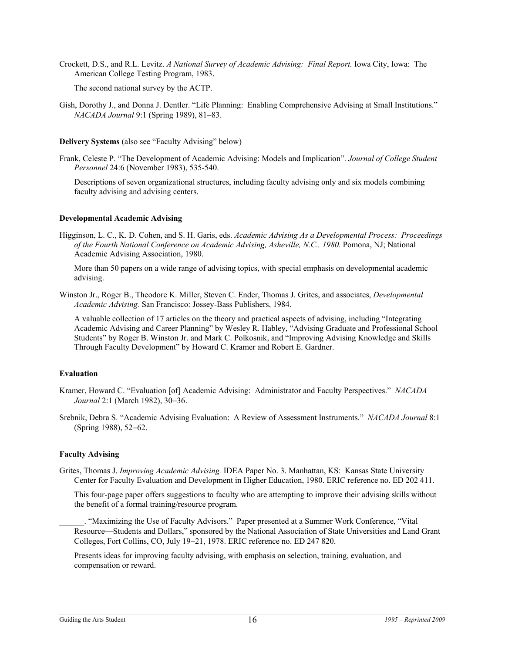Crockett, D.S., and R.L. Levitz. *A National Survey of Academic Advising: Final Report.* Iowa City, Iowa: The American College Testing Program, 1983.

The second national survey by the ACTP.

Gish, Dorothy J., and Donna J. Dentler. "Life Planning: Enabling Comprehensive Advising at Small Institutions." *NACADA Journal* 9:1 (Spring 1989), 81−83.

#### **Delivery Systems** (also see "Faculty Advising" below)

Frank, Celeste P. "The Development of Academic Advising: Models and Implication". *Journal of College Student Personnel* 24:6 (November 1983), 535-540.

Descriptions of seven organizational structures, including faculty advising only and six models combining faculty advising and advising centers.

#### **Developmental Academic Advising**

Higginson, L. C., K. D. Cohen, and S. H. Garis, eds. *Academic Advising As a Developmental Process: Proceedings of the Fourth National Conference on Academic Advising, Asheville, N.C., 1980.* Pomona, NJ; National Academic Advising Association, 1980.

 More than 50 papers on a wide range of advising topics, with special emphasis on developmental academic advising.

Winston Jr., Roger B., Theodore K. Miller, Steven C. Ender, Thomas J. Grites, and associates, *Developmental Academic Advising.* San Francisco: Jossey-Bass Publishers, 1984.

 A valuable collection of 17 articles on the theory and practical aspects of advising, including "Integrating Academic Advising and Career Planning" by Wesley R. Habley, "Advising Graduate and Professional School Students" by Roger B. Winston Jr. and Mark C. Polkosnik, and "Improving Advising Knowledge and Skills Through Faculty Development" by Howard C. Kramer and Robert E. Gardner.

#### **Evaluation**

- Kramer, Howard C. "Evaluation [of] Academic Advising: Administrator and Faculty Perspectives." *NACADA Journal* 2:1 (March 1982), 30−36.
- Srebnik, Debra S. "Academic Advising Evaluation: A Review of Assessment Instruments." *NACADA Journal* 8:1 (Spring 1988), 52−62.

#### **Faculty Advising**

Grites, Thomas J. *Improving Academic Advising.* IDEA Paper No. 3. Manhattan, KS: Kansas State University Center for Faculty Evaluation and Development in Higher Education, 1980. ERIC reference no. ED 202 411.

 This four-page paper offers suggestions to faculty who are attempting to improve their advising skills without the benefit of a formal training/resource program.

\_\_\_\_\_\_. "Maximizing the Use of Faculty Advisors." Paper presented at a Summer Work Conference, "Vital Resource—Students and Dollars," sponsored by the National Association of State Universities and Land Grant Colleges, Fort Collins, CO, July 19−21, 1978. ERIC reference no. ED 247 820.

 Presents ideas for improving faculty advising, with emphasis on selection, training, evaluation, and compensation or reward.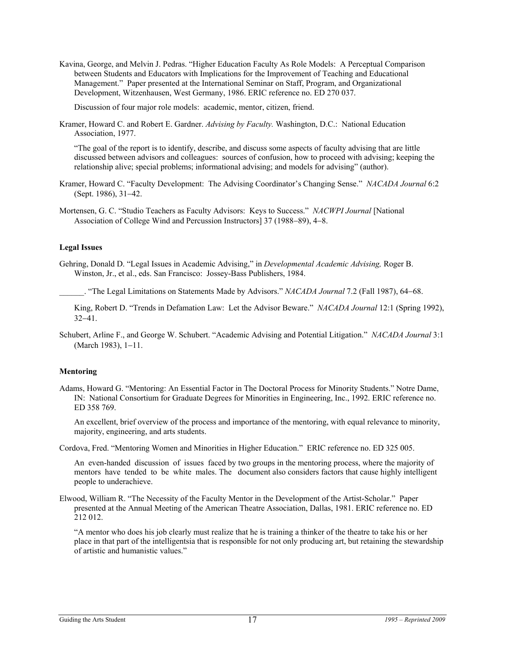Kavina, George, and Melvin J. Pedras. "Higher Education Faculty As Role Models: A Perceptual Comparison between Students and Educators with Implications for the Improvement of Teaching and Educational Management." Paper presented at the International Seminar on Staff, Program, and Organizational Development, Witzenhausen, West Germany, 1986. ERIC reference no. ED 270 037.

Discussion of four major role models: academic, mentor, citizen, friend.

Kramer, Howard C. and Robert E. Gardner. *Advising by Faculty.* Washington, D.C.: National Education Association, 1977.

 "The goal of the report is to identify, describe, and discuss some aspects of faculty advising that are little discussed between advisors and colleagues: sources of confusion, how to proceed with advising; keeping the relationship alive; special problems; informational advising; and models for advising" (author).

- Kramer, Howard C. "Faculty Development: The Advising Coordinator's Changing Sense." *NACADA Journal* 6:2 (Sept. 1986), 31−42.
- Mortensen, G. C. "Studio Teachers as Faculty Advisors: Keys to Success." *NACWPI Journal* [National Association of College Wind and Percussion Instructors] 37 (1988−89), 4−8.

#### **Legal Issues**

Gehring, Donald D. "Legal Issues in Academic Advising," in *Developmental Academic Advising,* Roger B. Winston, Jr., et al., eds. San Francisco: Jossey-Bass Publishers, 1984.

\_\_\_\_\_\_. "The Legal Limitations on Statements Made by Advisors." *NACADA Journal* 7.2 (Fall 1987), 64−68.

 King, Robert D. "Trends in Defamation Law: Let the Advisor Beware." *NACADA Journal* 12:1 (Spring 1992), 32−41.

Schubert, Arline F., and George W. Schubert. "Academic Advising and Potential Litigation." *NACADA Journal* 3:1 (March 1983), 1−11.

#### **Mentoring**

Adams, Howard G. "Mentoring: An Essential Factor in The Doctoral Process for Minority Students." Notre Dame, IN: National Consortium for Graduate Degrees for Minorities in Engineering, Inc., 1992. ERIC reference no. ED 358 769.

 An excellent, brief overview of the process and importance of the mentoring, with equal relevance to minority, majority, engineering, and arts students.

Cordova, Fred. "Mentoring Women and Minorities in Higher Education." ERIC reference no. ED 325 005.

 An even-handed discussion of issues faced by two groups in the mentoring process, where the majority of mentors have tended to be white males. The document also considers factors that cause highly intelligent people to underachieve.

Elwood, William R. "The Necessity of the Faculty Mentor in the Development of the Artist-Scholar." Paper presented at the Annual Meeting of the American Theatre Association, Dallas, 1981. ERIC reference no. ED 212 012.

 "A mentor who does his job clearly must realize that he is training a thinker of the theatre to take his or her place in that part of the intelligentsia that is responsible for not only producing art, but retaining the stewardship of artistic and humanistic values."